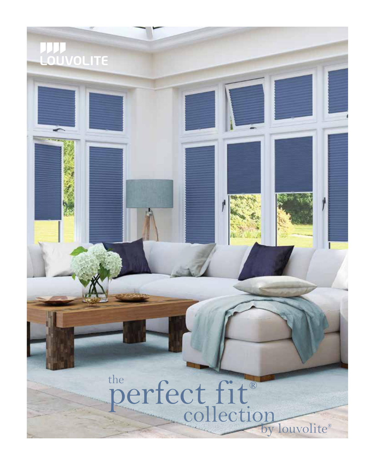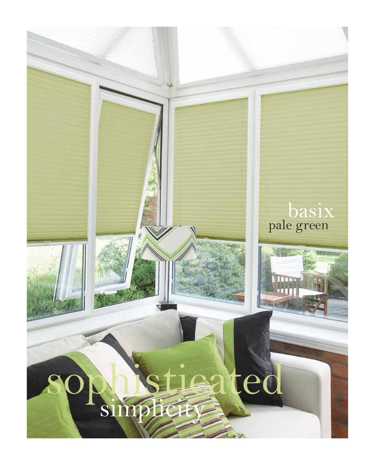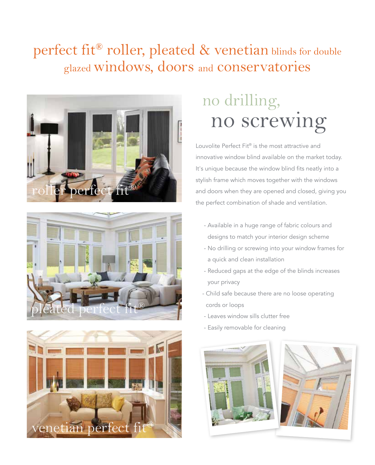### perfect fit<sup>®</sup> roller, pleated & venetian blinds for double glazed windows, doors and conservatories







## no screwing no drilling,

Louvolite Perfect Fit® is the most attractive and innovative window blind available on the market today. It's unique because the window blind fits neatly into a stylish frame which moves together with the windows and doors when they are opened and closed, giving you the perfect combination of shade and ventilation.

- Available in a huge range of fabric colours and designs to match your interior design scheme
- No drilling or screwing into your window frames for a quick and clean installation
- Reduced gaps at the edge of the blinds increases your privacy
- Child safe because there are no loose operating cords or loops
- Leaves window sills clutter free
- Easily removable for cleaning

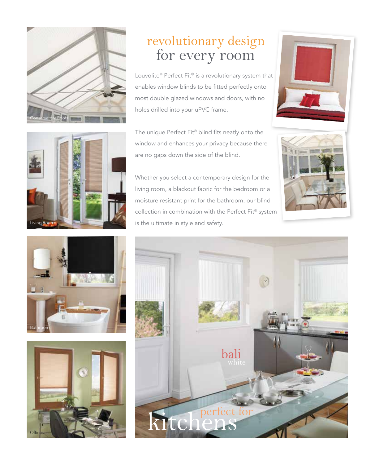

#### for every room revolutionary design

Louvolite® Perfect Fit® is a revolutionary system that enables window blinds to be fitted perfectly onto most double glazed windows and doors, with no holes drilled into your uPVC frame.

The unique Perfect Fit® blind fits neatly onto the window and enhances your privacy because there are no gaps down the side of the blind.

Whether you select a contemporary design for the living room, a blackout fabric for the bedroom or a moisture resistant print for the bathroom, our blind collection in combination with the Perfect Fit® system is the ultimate in style and safety.











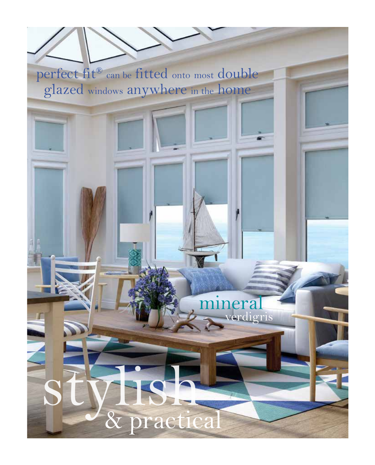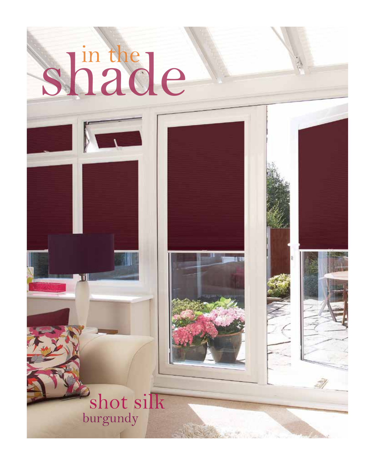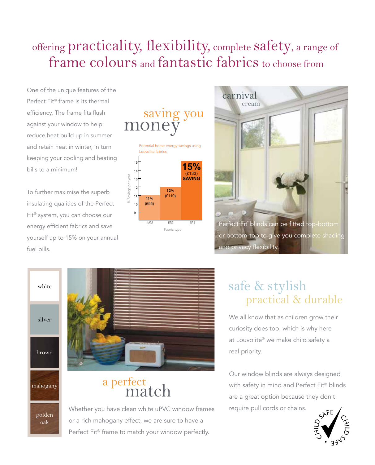### offering practicality, flexibility, complete safety, a range of frame colours and fantastic fabrics to choose from

One of the unique features of the Perfect Fit® frame is its thermal efficiency. The frame fits flush against your window to help reduce heat build up in summer and retain heat in winter, in turn keeping your cooling and heating bills to a minimum!

To further maximise the superb insulating qualities of the Perfect Fit® system, you can choose our energy efficient fabrics and save yourself up to 15% on your annual fuel bills.





white

silver

brown



golden oak



# a perfect<br>match

Whether you have clean white uPVC window frames or a rich mahogany effect, we are sure to have a Perfect Fit® frame to match your window perfectly.

#### practical & durable safe & stylish

We all know that as children grow their curiosity does too, which is why here at Louvolite® we make child safety a real priority.

Our window blinds are always designed with safety in mind and Perfect Fit® blinds are a great option because they don't require pull cords or chains.